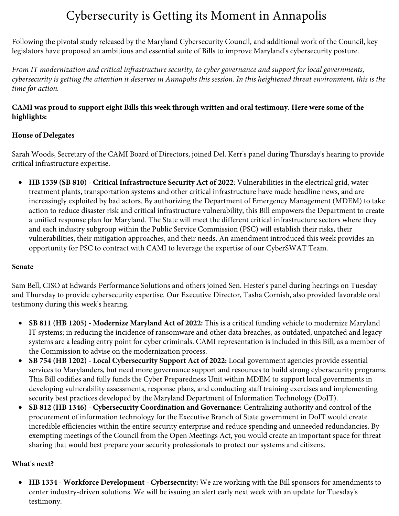# Cybersecurity is Getting its Moment in Annapolis

Following the pivotal study released by the Maryland Cybersecurity Council, and additional work of the Council, key legislators have proposed an ambitious and essential suite of Bills to improve Maryland's cybersecurity posture.

*From IT modernization and critical infrastructure security, to cyber governance and support for local governments, cybersecurity is getting the attention it deserves in Annapolis this session. In this heightened threat environment, this is the time for action.*

### **CAMI was proud to support eight Bills this week through written and oral testimony. Here were some of the highlights:**

### **House of Delegates**

Sarah Woods, Secretary of the CAMI Board of Directors, joined Del. Kerr's panel during Thursday's hearing to provide critical infrastructure expertise.

• **HB 1339 (SB 810) - Critical Infrastructure Security Act of 2022**: Vulnerabilities in the electrical grid, water treatment plants, transportation systems and other critical infrastructure have made headline news, and are increasingly exploited by bad actors. By authorizing the Department of Emergency Management (MDEM) to take action to reduce disaster risk and critical infrastructure vulnerability, this Bill empowers the Department to create a unified response plan for Maryland. The State will meet the different critical infrastructure sectors where they and each industry subgroup within the Public Service Commission (PSC) will establish their risks, their vulnerabilities, their mitigation approaches, and their needs. An amendment introduced this week provides an opportunity for PSC to contract with CAMI to leverage the expertise of our CyberSWAT Team.

### **Senate**

Sam Bell, CISO at Edwards Performance Solutions and others joined Sen. Hester's panel during hearings on Tuesday and Thursday to provide cybersecurity expertise. Our Executive Director, Tasha Cornish, also provided favorable oral testimony during this week's hearing.

- **SB 811 (HB 1205) Modernize Maryland Act of 2022:** This is a critical funding vehicle to modernize Maryland IT systems; in reducing the incidence of ransomware and other data breaches, as outdated, unpatched and legacy systems are a leading entry point for cyber criminals. CAMI representation is included in this Bill, as a member of the Commission to advise on the modernization process.
- **SB 754 (HB 1202) Local Cybersecurity Support Act of 2022:** Local government agencies provide essential services to Marylanders, but need more governance support and resources to build strong cybersecurity programs. This Bill codifies and fully funds the Cyber Preparedness Unit within MDEM to support local governments in developing vulnerability assessments, response plans, and conducting staff training exercises and implementing security best practices developed by the Maryland Department of Information Technology (DoIT).
- **SB 812 (HB 1346) Cybersecurity Coordination and Governance:** Centralizing authority and control of the procurement of information technology for the Executive Branch of State government in DoIT would create incredible efficiencies within the entire security enterprise and reduce spending and unneeded redundancies. By exempting meetings of the Council from the Open Meetings Act, you would create an important space for threat sharing that would best prepare your security professionals to protect our systems and citizens.

## **What's next?**

• **HB 1334 - Workforce Development - Cybersecurity:** We are working with the Bill sponsors for amendments to center industry-driven solutions. We will be issuing an alert early next week with an update for Tuesday's testimony.